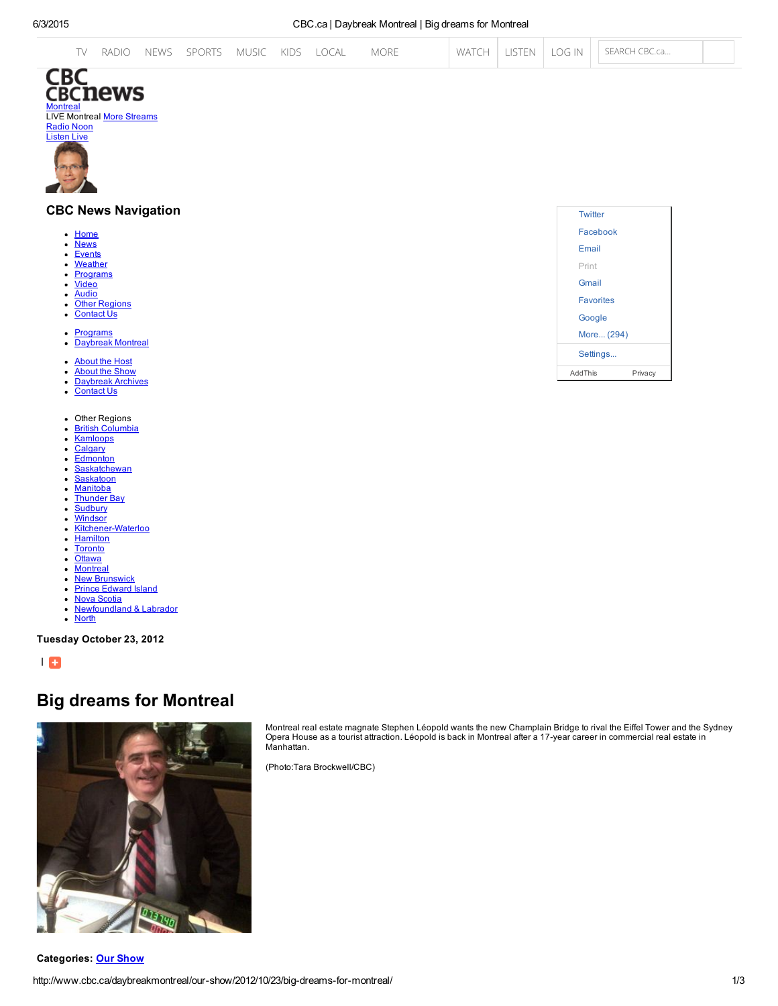|  | TV RADIO NEWS SPORTS MUSIC KIDS LOCAL MORE |  |  |  |  |  |  |  |  |  | WATCH   LISTEN   LOG IN     SEARCH CBC.ca |  |
|--|--------------------------------------------|--|--|--|--|--|--|--|--|--|-------------------------------------------|--|
|--|--------------------------------------------|--|--|--|--|--|--|--|--|--|-------------------------------------------|--|



## CBC News Navigation

- [Home](http://www.cbc.ca/montreal/) **[News](http://www.cbc.ca/montreal/news/)**  $\bullet$
- $\bullet$ **[Events](http://www.cbc.ca/montreal/community/)**
- **[Weather](http://www.cbc.ca/montreal/weather/s0000635.html)**  $\bullet$
- **[Programs](http://www.cbc.ca/montreal/programs/)**  $\bullet$
- **[Video](http://www.cbc.ca/player/News/Canada/Montreal/)**  $\bullet$
- [Audio](http://www.cbc.ca/player/Radio/Local+Shows/Quebec/)
- **Other Regions**
- [Contact](http://www.cbc.ca/montreal/contact/) Us
- [Programs](http://www.cbc.ca/montreal/programs/)  $\bullet$ [Daybreak](http://www.cbc.ca/daybreakmontreal/) Montreal  $\bullet$
- 
- [About](http://www.cbc.ca/daybreakmontreal/host/) the Host [About](http://www.cbc.ca/daybreakmontreal/about/) the Show
- **[Daybreak](http://www.cbc.ca/daybreakmontreal/archives/) Archives**
- [Contact](http://www.cbc.ca/daybreakmontreal/contact/) Us
- $\bullet$ Other Regions
- British [Columbia](http://www.cbc.ca/news/canada/british-columbia/)  $\bullet$
- **[Kamloops](http://www.cbc.ca/kamloops/) [Calgary](http://www.cbc.ca/news/canada/calgary/)**
- **[Edmonton](http://www.cbc.ca/news/canada/edmonton/)**
- **[Saskatchewan](http://www.cbc.ca/news/canada/saskatchewan/)**
- **[Saskatoon](http://www.cbc.ca/news/canada/saskatoon/)**
- **[Manitoba](http://www.cbc.ca/news/canada/manitoba/)**
- [Thunder](http://www.cbc.ca/news/canada/thunder-bay/) Bay  $\ddot{\phantom{a}}$ **[Sudbury](http://www.cbc.ca/news/canada/sudbury/)**
- **[Windsor](http://www.cbc.ca/news/canada/windsor/)**  $\bullet$
- Kitchener-Waterloo  $\bullet$
- **[Hamilton](http://www.cbc.ca/hamilton/)**
- $\bullet$ **[Toronto](http://www.cbc.ca/news/canada/toronto/)**
- <u>[Ottawa](http://www.cbc.ca/news/canada/ottawa/)</u><br>[Montreal](http://www.cbc.ca/news/canada/montreal/)  $\bullet$
- 
- New [Brunswick](http://www.cbc.ca/news/canada/new-brunswick/) Prince [Edward](http://www.cbc.ca/news/canada/prince-edward-island/) Island
- $\bullet$ Nova [Scotia](http://www.cbc.ca/news/canada/nova-scotia/)
- **[Newfoundland](http://www.cbc.ca/news/canada/newfoundland-labrador/) & Labrador**  $\bullet$
- $\bullet$ [North](http://www.cbc.ca/news/canada/north/)

Tuesday October 23, 2012

| 8

# Big dreams for Montreal





Montreal real estate magnate Stephen Léopold wants the new Champlain Bridge to rival the Eiffel Tower and the Sydney Opera House as a tourist attraction. Léopold is back in Montreal after a 17year career in commercial real estate in Manhattan.

(Photo:Tara Brockwell/CBC)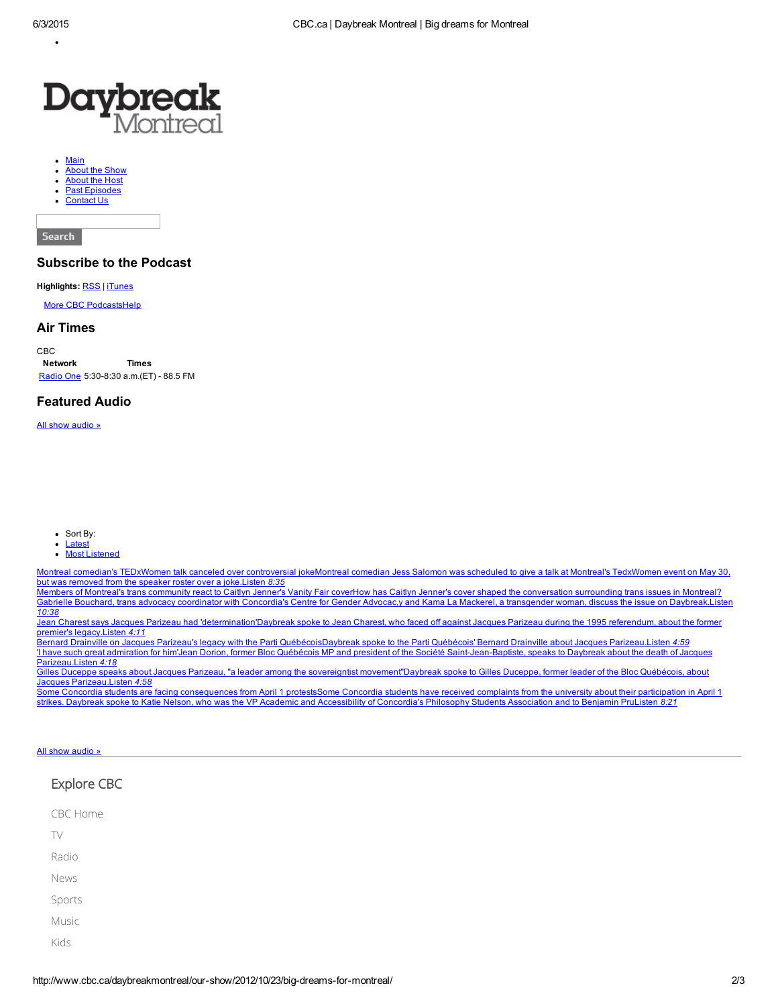

- [Main](http://www.cbc.ca/daybreakmontreal/)
- [About](http://www.cbc.ca/daybreakmontreal/about) the Show
- [About](http://www.cbc.ca/daybreakmontreal/host) the Host Past [Episodes](http://www.cbc.ca/daybreakmontreal/our-show)
- [Contact](http://www.cbc.ca/daybreakmontreal/contact) Us

Search

## Subscribe to the Podcast

#### Highlights: [RSS](http://www.cbc.ca/podcasting/includes/montrealdaybreak.xml) | [iTunes](itpc://www.cbc.ca/podcasting/includes/montrealdaybreak.xml)

More CBC [Podcasts](http://www.cbc.ca/podcasting/index.html?region)[Help](http://www.cbc.ca/podcasting/gettingstarted.html)

#### Air Times

CBC Network Times [Radio](http://www.cbc.ca/programguide/daily/today/cbc_radio_one) One 5:30-8:30 a.m.(ET) - 88.5 FM

### Featured Audio

All show [audio](http://www.cbc.ca/player/Radio/Local+Shows/Quebec/Daybreak+Montreal/) »

- $\bullet$  Sort By:
	- **Latest**  $\bullet$
	- Most Listened

Montreal comedian's TEDxWomen talk canceled over controversial jokeMontreal comedian Jess Salomon was scheduled to give a talk at Montreal's TedxWomen event on May 30, but was removed from the speaker roster over a joke.Listen *8:35*

Members of Montreal's trans community react to Caitlyn Jenner's Vanity Fair coverHow has Caitlyn Jenner's cover shaped the conversation surrounding trans issues in Montreal?<br>Gabrielle Bouchard, trans advocacy coordinator w *10:38*

Jean Charest says Jacques Parizeau had 'determination'Daybreak spoke to Jean Charest, who faced off against Jacques Parizeau during the 1995 referendum, about the former premier's legacy.Listen *4:11*

Bernard Drainville on Jacques Parizeau's legacy with the Parti QuébécoisDaybreak spoke to the Parti Québécois' Bernard Drainville about Jacques Parizeau.Listen *4:59* Thave such great admiration for him'Jean Dorion, former Bloc Québécois MP and president of the Société Saint-Jean-Baptiste, speaks to Daybreak about the death of Jacques Parizeau.Listen *4:18*

Gilles Duceppe speaks about Jacques Parizeau, "a leader among the sovereigntist movement"Daybreak spoke to Gilles Duceppe, former leader of the Bloc Québécois, about Jacques Parizeau.Listen *4:58*

**Some Concordia students are facing consequences from April 1 protestsSome Concordia students have received complaints from the university about their participation in April 1** strikes. Daybreak spoke to Katie Nelson, who was the VP Academic and Accessibility of Concordia's Philosophy Students Association and to Benjamin PruListen *8:21*

#### All show [audio](http://www.cbc.ca/player/Radio/Local+Shows/Quebec/Daybreak+Montreal/) »

# Explore CBC CBC [Home](http://www.cbc.ca/) [TV](http://www.cbc.ca/television/) [Radio](http://www.cbc.ca/radio/) [News](http://www.cbc.ca/news) [Sports](http://www.cbc.ca/sports) [Music](http://music.cbc.ca/) [Kids](http://www.cbc.ca/kidscbc/)